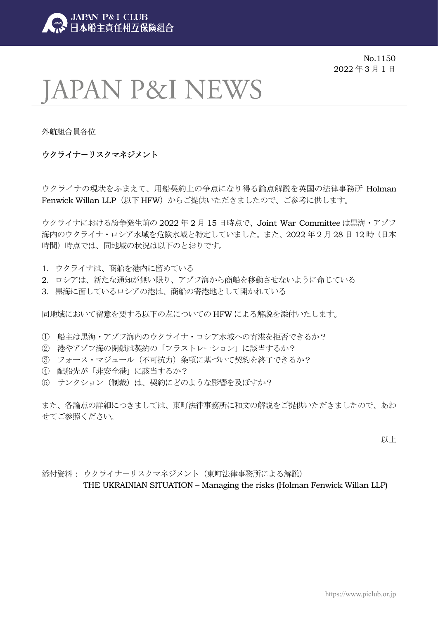

No.1150 2022 年 3 月 1 日

# **JAPAN P&I NEWS**

外航組合員各位

# ウクライナ-リスクマネジメント

ウクライナの現状をふまえて、用船契約上の争点になり得る論点解説を英国の法律事務所 Holman Fenwick Willan LLP (以下 HFW) からご提供いただきましたので、ご参考に供します。

ウクライナにおける紛争発生前の 2022 年 2 月 15 日時点で、Joint War Committee は黒海・アゾフ 海内のウクライナ・ロシア水域を危険水域と特定していました。また、2022年2月28日12時(日本 時間)時点では、同地域の状況は以下のとおりです。

- 1. ウクライナは、商船を港内に留めている
- 2. ロシアは、新たな通知が無い限り、アゾフ海から商船を移動させないように命じている
- 3. 黒海に面しているロシアの港は、商船の寄港地として開かれている

同地域において留意を要する以下の点についての HFW による解説を添付いたします。

- ① 船主は黒海・アゾフ海内のウクライナ・ロシア水域への寄港を拒否できるか?
- ② 港やアゾフ海の閉鎖は契約の「フラストレーション」に該当するか?
- ③ フォース・マジュール(不可抗力)条項に基づいて契約を終了できるか?
- ④ 配船先が「非安全港」に該当するか?
- ⑤ サンクション(制裁)は、契約にどのような影響を及ぼすか?

また、各論点の詳細につきましては、東町法律事務所に和文の解説をご提供いただきましたので、あわ せてご参照ください。

以上

添付資料: ウクライナーリスクマネジメント (東町法律事務所による解説) THE UKRAINIAN SITUATION – Managing the risks (Holman Fenwick Willan LLP)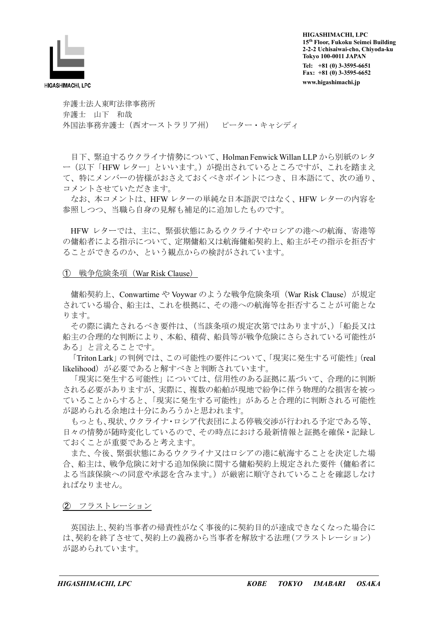

**HIGASHIMACHI, LPC 15th Floor, Fukoku Seimei Building 2-2-2 Uchisaiwai-cho, Chiyoda-ku Tokyo 100-0011 JAPAN Tel: +81 (0) 3-3595-6651 Fax: +81 (0) 3-3595-6652 www.higashimachi.jp** 

弁護士法人東町法律事務所 弁護士 山下 和哉 外国法事務弁護士(西オーストラリア州) ピーター・キャシディ

目下、緊迫するウクライナ情勢について、Holman Fenwick Willan LLP から別紙のレタ ー(以下「HFW レター」といいます。)が提出されているところですが、これを踏まえ て、特にメンバーの皆様がおさえておくべきポイントにつき、日本語にて、次の通り、 コメントさせていただきます。

なお、本コメントは、HFW レターの単純な日本語訳ではなく、HFW レターの内容を 参照しつつ、当職ら自身の見解も補足的に追加したものです。

HFW レターでは、主に、緊張状態にあるウクライナやロシアの港への航海、寄港等 の傭船者による指示について、定期傭船又は航海傭船契約上、船主がその指示を拒否す ることができるのか、という観点からの検討がされています。

#### ➀ 戦争危険条項(War Risk Clause)

傭船契約上、Conwartime や Voywar のような戦争危険条項(War Risk Clause)が規定 されている場合、船主は、これを根拠に、その港への航海等を拒否することが可能とな ります。

 その際に満たされるべき要件は、(当該条項の規定次第ではありますが、)「船長又は 船主の合理的な判断により、本船、積荷、船員等が戦争危険にさらされている可能性が ある」と言えることです。

「Triton Lark」の判例では、この可能性の要件について、「現実に発生する可能性」(real likelihood)が必要であると解すべきと判断されています。

 「現実に発生する可能性」については、信用性のある証拠に基づいて、合理的に判断 される必要がありますが、実際に、複数の船舶が現地で紛争に伴う物理的な損害を被っ ていることからすると、「現実に発生する可能性」があると合理的に判断される可能性 が認められる余地は十分にあろうかと思われます。

 もっとも、現状、ウクライナ・ロシア代表団による停戦交渉が行われる予定である等、 日々の情勢が随時変化しているので、その時点における最新情報と証拠を確保・記録し ておくことが重要であると考えます。

 また、今後、緊張状態にあるウクライナ又はロシアの港に航海することを決定した場 合、船主は、戦争危険に対する追加保険に関する傭船契約上規定された要件(傭船者に よる当該保険への同意や承認を含みます。)が厳密に順守されていることを確認しなけ ればなりません。

➁ フラストレーション

 英国法上、契約当事者の帰責性がなく事後的に契約目的が達成できなくなった場合に は、契約を終了させて、契約上の義務から当事者を解放する法理(フラストレーション) が認められています。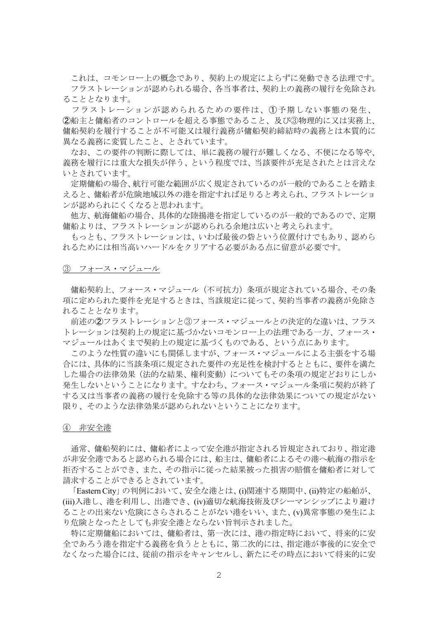これは、コモンロー上の概念であり、契約上の規定によらずに発動できる法理です。 フラストレーションが認められる場合、各当事者は、契約上の義務の履行を免除され ることとなります。

 フラストレーションが認められるための要件は、➀予期しない事態の発生、 ➁船主と傭船者のコントロールを超える事態であること、及び③物理的に又は実務上、 傭船契約を履行することが不可能又は履行義務が傭船契約締結時の義務とは本質的に 異なる義務に変質したこと、とされています。

 なお、この要件の判断に際しては、単に義務の履行が難しくなる、不便になる等や、 義務を履行には重大な損失が伴う、という程度では、当該要件が充足されたとは言えな いとされています。

 定期傭船の場合、航行可能な範囲が広く規定されているのが一般的であることを踏ま えると、傭船者が危険地域以外の港を指定すれば足りると考えられ、フラストレーショ ンが認められにくくなると思われます。

 他方、航海傭船の場合、具体的な陸揚港を指定しているのが一般的であるので、定期 傭船よりは、フラストレーションが認められる余地は広いと考えられます。

 もっとも、フラストレーションは、いわば最後の砦という位置付けでもあり、認めら れるためには相当高いハードルをクリアする必要がある点に留意が必要です。

③ フォース・マジュール

 傭船契約上、フォース・マジュール(不可抗力)条項が規定されている場合、その条 項に定められた要件を充足するときは、当該規定に従って、契約当事者の義務が免除さ れることとなります。

前述の②フラストレーションと③フォース・マジュールとの決定的な違いは、フラス トレーションは契約上の規定に基づかないコモンロー上の法理である一方、フォース・ マジュールはあくまで契約上の規定に基づくものである、という点にあります。

 このような性質の違いにも関係しますが、フォース・マジュールによる主張をする場 合には、具体的に当該条項に規定された要件の充足性を検討するとともに、要件を満た した場合の法律効果(法的な結果、権利変動)についてもその条項の規定どおりにしか 発生しないということになります。すなわち、フォース・マジュール条項に契約が終了 する又は当事者の義務の履行を免除する等の具体的な法律効果についての規定がない 限り、そのような法律効果が認められないということになります。

④ 非安全港

 通常、傭船契約には、傭船者によって安全港が指定される旨規定されており、指定港 が非安全港であると認められる場合には、船主は、傭船者によるその港へ航海の指示を 拒否することができ、また、その指示に従った結果被った損害の賠償を傭船者に対して 請求することができるとされています。

 「Eastern City」の判例において、安全な港とは、(i)関連する期間中、(ii)特定の船舶が、 (iii)入港し、港を利用し、出港でき、(iv)適切な航海技術及びシーマンシップにより避け ることの出来ない危険にさらされることがない港をいい、また、(v)異常事態の発生によ り危険となったとしても非安全港とならない旨判示されました。

 特に定期傭船においては、傭船者は、第一次には、港の指定時において、将来的に安 全であろう港を指定する義務を負うとともに、第二次的には、指定港が事後的に安全で なくなった場合には、従前の指示をキャンセルし、新たにその時点において将来的に安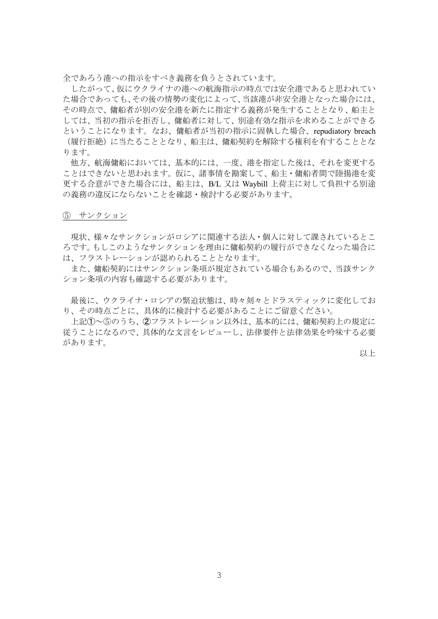全であろう港への指示をすべき義務を負うとされています。

したがって、仮にウクライナの港への航海指示の時点では安全港であると思われてい た場合であっても、その後の情勢の変化によって、当該港が非安全港となった場合には、 その時点で、傭船者が別の安全港を新たに指定する義務が発生することとなり、船主と しては、当初の指示を拒否し、傭船者に対して、別途有効な指示を求めることができる ということになります。なお、傭船者が当初の指示に固執した場合、repudiatory breach (履行拒絶)に当たることとなり、船主は、傭船契約を解除する権利を有することとな ります。

 他方、航海傭船においては、基本的には、一度、港を指定した後は、それを変更する ことはできないと思われます。仮に、諸事情を勘案して、船主・傭船者間で陸揚港を変 更する合意ができた場合には、船主は、B/L 又は Waybill 上荷主に対して負担する別途 の義務の違反にならないことを確認・検討する必要があります。

#### ⑤ サンクション

現状、様々なサンクションがロシアに関連する法人・個人に対して課されているとこ ろです。もしこのようなサンクションを理由に傭船契約の履行ができなくなった場合に は、フラストレーションが認められることとなります。

 また、傭船契約にはサンクション条項が規定されている場合もあるので、当該サンク ション条項の内容も確認する必要があります。

最後に、ウクライナ・ロシアの緊迫状態は、時々刻々とドラスティックに変化してお り、その時点ごとに、具体的に検討する必要があることにご留意ください。

上記➀~⑤のうち、➁フラストレーション以外は、基本的には、傭船契約上の規定に 従うことになるので、具体的な文言をレビューし、法律要件と法律効果を吟味する必要 があります。

以上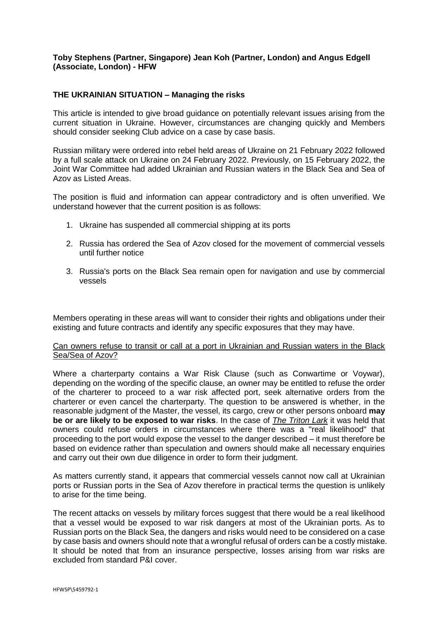### **Toby Stephens (Partner, Singapore) Jean Koh (Partner, London) and Angus Edgell (Associate, London) - HFW**

## **THE UKRAINIAN SITUATION – Managing the risks**

This article is intended to give broad guidance on potentially relevant issues arising from the current situation in Ukraine. However, circumstances are changing quickly and Members should consider seeking Club advice on a case by case basis.

Russian military were ordered into rebel held areas of Ukraine on 21 February 2022 followed by a full scale attack on Ukraine on 24 February 2022. Previously, on 15 February 2022, the Joint War Committee had added Ukrainian and Russian waters in the Black Sea and Sea of Azov as Listed Areas.

The position is fluid and information can appear contradictory and is often unverified. We understand however that the current position is as follows:

- 1. Ukraine has suspended all commercial shipping at its ports
- 2. Russia has ordered the Sea of Azov closed for the movement of commercial vessels until further notice
- 3. Russia's ports on the Black Sea remain open for navigation and use by commercial vessels

Members operating in these areas will want to consider their rights and obligations under their existing and future contracts and identify any specific exposures that they may have.

### Can owners refuse to transit or call at a port in Ukrainian and Russian waters in the Black Sea/Sea of Azov?

Where a charterparty contains a War Risk Clause (such as Conwartime or Voywar), depending on the wording of the specific clause, an owner may be entitled to refuse the order of the charterer to proceed to a war risk affected port, seek alternative orders from the charterer or even cancel the charterparty. The question to be answered is whether, in the reasonable judgment of the Master, the vessel, its cargo, crew or other persons onboard **may be or are likely to be exposed to war risks**. In the case of *The Triton Lark* it was held that owners could refuse orders in circumstances where there was a "real likelihood" that proceeding to the port would expose the vessel to the danger described – it must therefore be based on evidence rather than speculation and owners should make all necessary enquiries and carry out their own due diligence in order to form their judgment.

As matters currently stand, it appears that commercial vessels cannot now call at Ukrainian ports or Russian ports in the Sea of Azov therefore in practical terms the question is unlikely to arise for the time being.

The recent attacks on vessels by military forces suggest that there would be a real likelihood that a vessel would be exposed to war risk dangers at most of the Ukrainian ports. As to Russian ports on the Black Sea, the dangers and risks would need to be considered on a case by case basis and owners should note that a wrongful refusal of orders can be a costly mistake. It should be noted that from an insurance perspective, losses arising from war risks are excluded from standard P&I cover.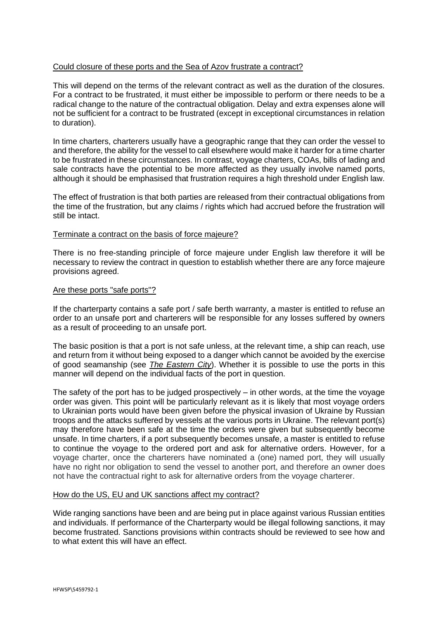## Could closure of these ports and the Sea of Azov frustrate a contract?

This will depend on the terms of the relevant contract as well as the duration of the closures. For a contract to be frustrated, it must either be impossible to perform or there needs to be a radical change to the nature of the contractual obligation. Delay and extra expenses alone will not be sufficient for a contract to be frustrated (except in exceptional circumstances in relation to duration).

In time charters, charterers usually have a geographic range that they can order the vessel to and therefore, the ability for the vessel to call elsewhere would make it harder for a time charter to be frustrated in these circumstances. In contrast, voyage charters, COAs, bills of lading and sale contracts have the potential to be more affected as they usually involve named ports, although it should be emphasised that frustration requires a high threshold under English law.

The effect of frustration is that both parties are released from their contractual obligations from the time of the frustration, but any claims / rights which had accrued before the frustration will still be intact.

### Terminate a contract on the basis of force majeure?

There is no free-standing principle of force majeure under English law therefore it will be necessary to review the contract in question to establish whether there are any force majeure provisions agreed.

#### Are these ports "safe ports"?

If the charterparty contains a safe port / safe berth warranty, a master is entitled to refuse an order to an unsafe port and charterers will be responsible for any losses suffered by owners as a result of proceeding to an unsafe port.

The basic position is that a port is not safe unless, at the relevant time, a ship can reach, use and return from it without being exposed to a danger which cannot be avoided by the exercise of good seamanship (see *The Eastern City*). Whether it is possible to use the ports in this manner will depend on the individual facts of the port in question.

The safety of the port has to be judged prospectively – in other words, at the time the voyage order was given. This point will be particularly relevant as it is likely that most voyage orders to Ukrainian ports would have been given before the physical invasion of Ukraine by Russian troops and the attacks suffered by vessels at the various ports in Ukraine. The relevant port(s) may therefore have been safe at the time the orders were given but subsequently become unsafe. In time charters, if a port subsequently becomes unsafe, a master is entitled to refuse to continue the voyage to the ordered port and ask for alternative orders. However, for a voyage charter, once the charterers have nominated a (one) named port, they will usually have no right nor obligation to send the vessel to another port, and therefore an owner does not have the contractual right to ask for alternative orders from the voyage charterer.

#### How do the US, EU and UK sanctions affect my contract?

Wide ranging sanctions have been and are being put in place against various Russian entities and individuals. If performance of the Charterparty would be illegal following sanctions, it may become frustrated. Sanctions provisions within contracts should be reviewed to see how and to what extent this will have an effect.